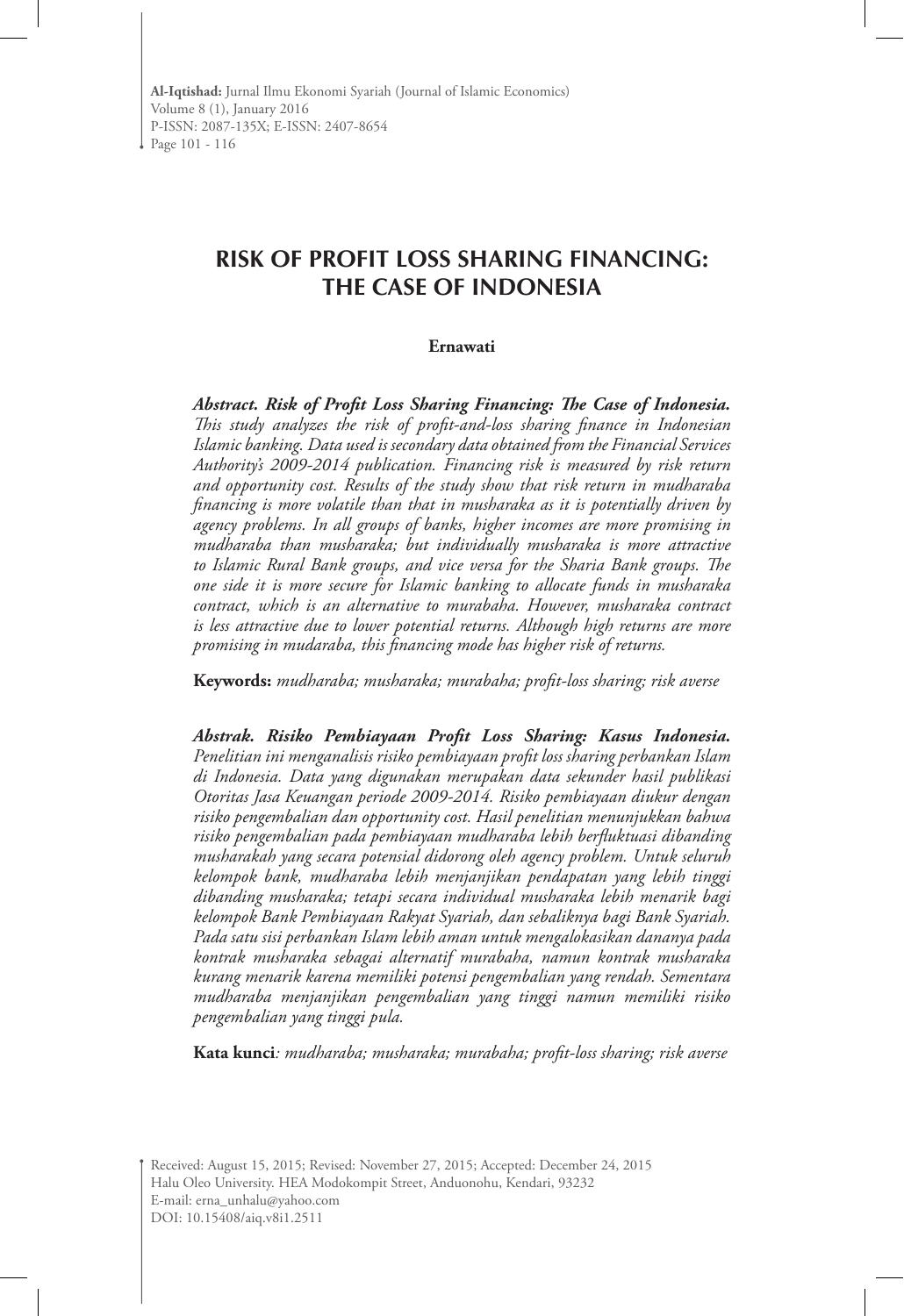**Al-Iqtishad:** Jurnal Ilmu Ekonomi Syariah (Journal of Islamic Economics) Volume 8 (1), January 2016 P-ISSN: 2087-135X; E-ISSN: 2407-8654 Page 101 - 116

# **RISK OF PROFIT LOSS SHARING FINANCING: THE CASE OF INDONESIA**

#### **Ernawati**

*Abstract. Risk of Profit Loss Sharing Financing: The Case of Indonesia. This study analyzes the risk of profit-and-loss sharing finance in Indonesian Islamic banking. Data used is secondary data obtained from the Financial Services Authority's 2009-2014 publication. Financing risk is measured by risk return and opportunity cost. Results of the study show that risk return in mudharaba financing is more volatile than that in musharaka as it is potentially driven by agency problems. In all groups of banks, higher incomes are more promising in mudharaba than musharaka; but individually musharaka is more attractive to Islamic Rural Bank groups, and vice versa for the Sharia Bank groups. The one side it is more secure for Islamic banking to allocate funds in musharaka contract, which is an alternative to murabaha. However, musharaka contract is less attractive due to lower potential returns. Although high returns are more promising in mudaraba, this financing mode has higher risk of returns.*

**Keywords:** *mudharaba; musharaka; murabaha; profit-loss sharing; risk averse* 

*Abstrak. Risiko Pembiayaan Profit Loss Sharing: Kasus Indonesia. Penelitian ini menganalisis risiko pembiayaan profit loss sharing perbankan Islam di Indonesia. Data yang digunakan merupakan data sekunder hasil publikasi Otoritas Jasa Keuangan periode 2009-2014. Risiko pembiayaan diukur dengan risiko pengembalian dan opportunity cost. Hasil penelitian menunjukkan bahwa risiko pengembalian pada pembiayaan mudharaba lebih berfluktuasi dibanding musharakah yang secara potensial didorong oleh agency problem. Untuk seluruh kelompok bank, mudharaba lebih menjanjikan pendapatan yang lebih tinggi dibanding musharaka; tetapi secara individual musharaka lebih menarik bagi kelompok Bank Pembiayaan Rakyat Syariah, dan sebaliknya bagi Bank Syariah. Pada satu sisi perbankan Islam lebih aman untuk mengalokasikan dananya pada kontrak musharaka sebagai alternatif murabaha, namun kontrak musharaka kurang menarik karena memiliki potensi pengembalian yang rendah. Sementara mudharaba menjanjikan pengembalian yang tinggi namun memiliki risiko pengembalian yang tinggi pula.*

**Kata kunci***: mudharaba; musharaka; murabaha; profit-loss sharing; risk averse*

Received: August 15, 2015; Revised: November 27, 2015; Accepted: December 24, 2015 Halu Oleo University. HEA Modokompit Street, Anduonohu, Kendari, 93232 E-mail: erna\_unhalu@yahoo.com DOI: 10.15408/aiq.v8i1.2511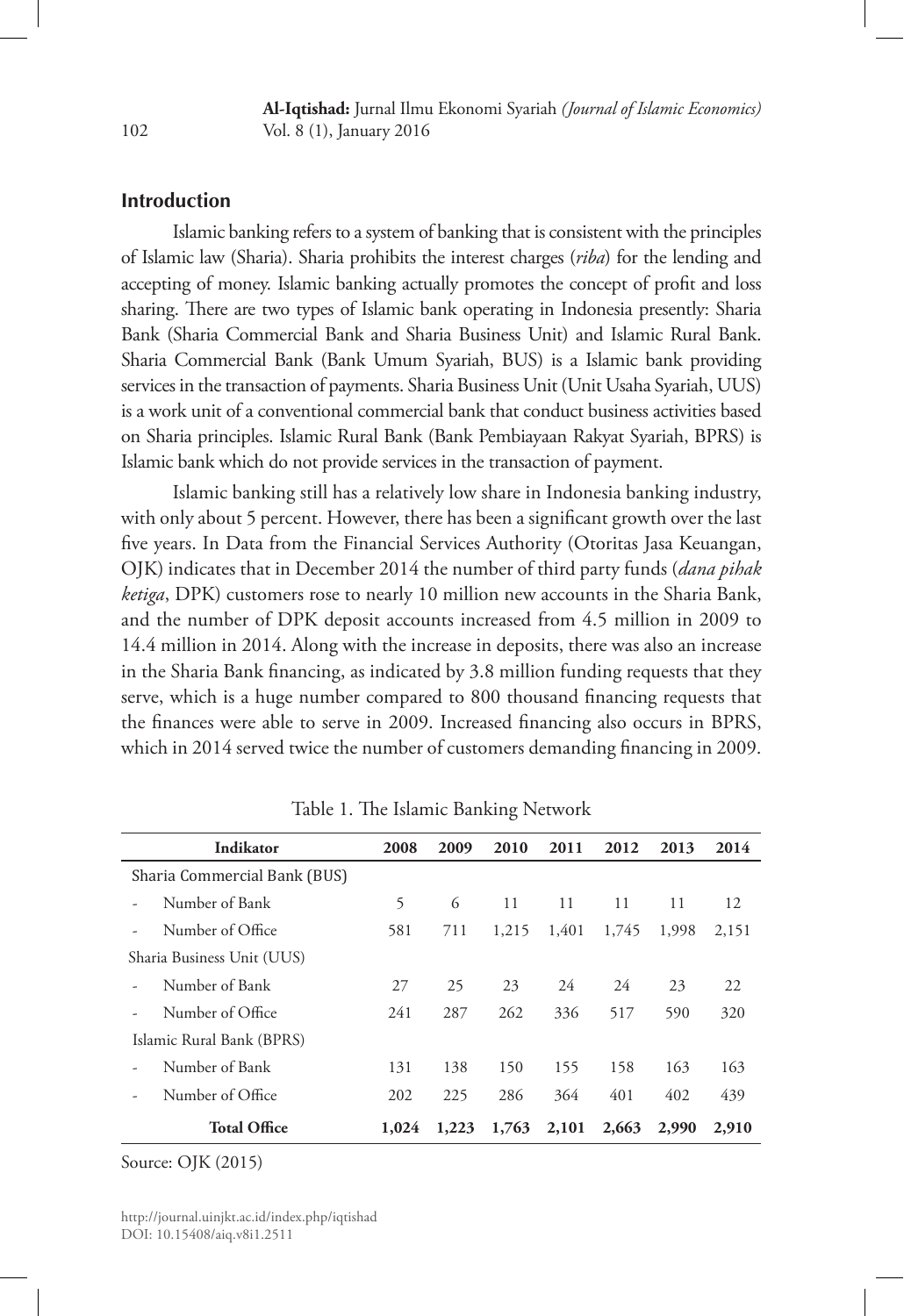# **Introduction**

Islamic banking refers to a system of banking that is consistent with the principles of Islamic law (Sharia). Sharia prohibits the interest charges (*riba*) for the lending and accepting of money. Islamic banking actually promotes the concept of profit and loss sharing. There are two types of Islamic bank operating in Indonesia presently: Sharia Bank (Sharia Commercial Bank and Sharia Business Unit) and Islamic Rural Bank. Sharia Commercial Bank (Bank Umum Syariah, BUS) is a Islamic bank providing services in the transaction of payments. Sharia Business Unit (Unit Usaha Syariah, UUS) is a work unit of a conventional commercial bank that conduct business activities based on Sharia principles. Islamic Rural Bank (Bank Pembiayaan Rakyat Syariah, BPRS) is Islamic bank which do not provide services in the transaction of payment.

Islamic banking still has a relatively low share in Indonesia banking industry, with only about 5 percent. However, there has been a significant growth over the last five years. In Data from the Financial Services Authority (Otoritas Jasa Keuangan, OJK) indicates that in December 2014 the number of third party funds (*dana pihak ketiga*, DPK) customers rose to nearly 10 million new accounts in the Sharia Bank, and the number of DPK deposit accounts increased from 4.5 million in 2009 to 14.4 million in 2014. Along with the increase in deposits, there was also an increase in the Sharia Bank financing, as indicated by 3.8 million funding requests that they serve, which is a huge number compared to 800 thousand financing requests that the finances were able to serve in 2009. Increased financing also occurs in BPRS, which in 2014 served twice the number of customers demanding financing in 2009.

|                            | Indikator                    | 2008  | 2009  | 2010  | 2011  | 2012  | 2013  | 2014  |
|----------------------------|------------------------------|-------|-------|-------|-------|-------|-------|-------|
|                            | Sharia Commercial Bank (BUS) |       |       |       |       |       |       |       |
|                            | Number of Bank               | 5     | 6     | 11    | 11    | 11    | 11    | 12    |
|                            | Number of Office             | 581   | 711   | 1,215 | 1,401 | 1,745 | 1.998 | 2.151 |
| Sharia Business Unit (UUS) |                              |       |       |       |       |       |       |       |
|                            | Number of Bank               | 27    | 25    | 23    | 24    | 24    | 23    | 22    |
|                            | Number of Office             | 241   | 287   | 262   | 336   | 517   | 590   | 320   |
|                            | Islamic Rural Bank (BPRS)    |       |       |       |       |       |       |       |
|                            | Number of Bank               | 131   | 138   | 150   | 155   | 158   | 163   | 163   |
|                            | Number of Office             | 202   | 225   | 286   | 364   | 401   | 402   | 439   |
|                            | <b>Total Office</b>          | 1,024 | 1,223 | 1,763 | 2,101 | 2,663 | 2,990 | 2,910 |

Table 1. The Islamic Banking Network

Source: OJK (2015)

http://journal.uinjkt.ac.id/index.php/iqtishad DOI: 10.15408/aiq.v8i1.2511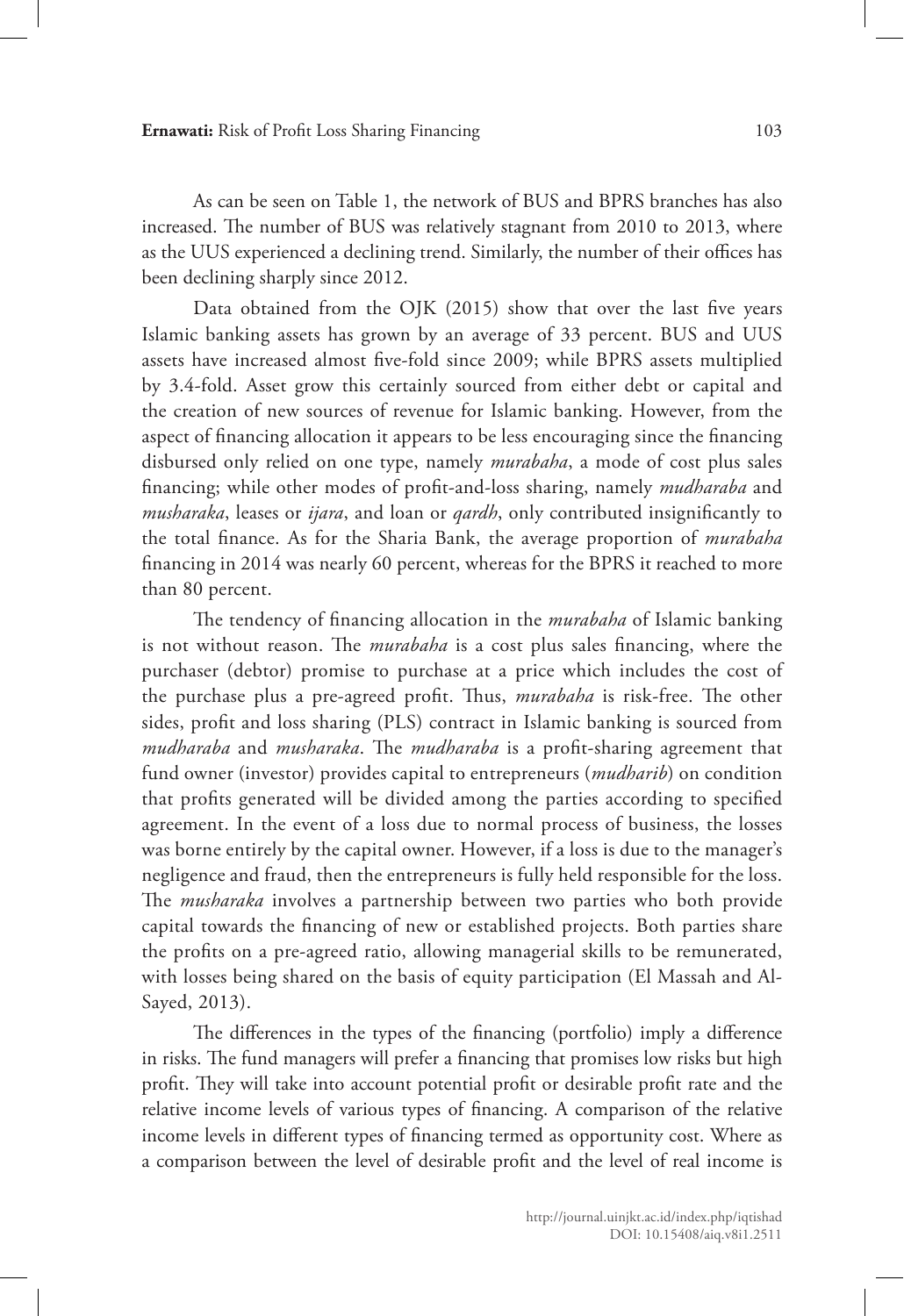**Ernawati:** Risk of Profit Loss Sharing Financing 103

As can be seen on Table 1, the network of BUS and BPRS branches has also increased. The number of BUS was relatively stagnant from 2010 to 2013, where as the UUS experienced a declining trend. Similarly, the number of their offices has been declining sharply since 2012.

Data obtained from the OJK (2015) show that over the last five years Islamic banking assets has grown by an average of 33 percent. BUS and UUS assets have increased almost five-fold since 2009; while BPRS assets multiplied by 3.4-fold. Asset grow this certainly sourced from either debt or capital and the creation of new sources of revenue for Islamic banking. However, from the aspect of financing allocation it appears to be less encouraging since the financing disbursed only relied on one type, namely *murabaha*, a mode of cost plus sales financing; while other modes of profit-and-loss sharing, namely *mudharaba* and *musharaka*, leases or *ijara*, and loan or *qardh*, only contributed insignificantly to the total finance. As for the Sharia Bank, the average proportion of *murabaha*  financing in 2014 was nearly 60 percent, whereas for the BPRS it reached to more than 80 percent.

The tendency of financing allocation in the *murabaha* of Islamic banking is not without reason. The *murabaha* is a cost plus sales financing, where the purchaser (debtor) promise to purchase at a price which includes the cost of the purchase plus a pre-agreed profit. Thus, *murabaha* is risk-free. The other sides, profit and loss sharing (PLS) contract in Islamic banking is sourced from *mudharaba* and *musharaka*. The *mudharaba* is a profit-sharing agreement that fund owner (investor) provides capital to entrepreneurs (*mudharib*) on condition that profits generated will be divided among the parties according to specified agreement. In the event of a loss due to normal process of business, the losses was borne entirely by the capital owner. However, if a loss is due to the manager's negligence and fraud, then the entrepreneurs is fully held responsible for the loss. The *musharaka* involves a partnership between two parties who both provide capital towards the financing of new or established projects. Both parties share the profits on a pre-agreed ratio, allowing managerial skills to be remunerated, with losses being shared on the basis of equity participation (El Massah and Al-Sayed, 2013).

The differences in the types of the financing (portfolio) imply a difference in risks. The fund managers will prefer a financing that promises low risks but high profit. They will take into account potential profit or desirable profit rate and the relative income levels of various types of financing. A comparison of the relative income levels in different types of financing termed as opportunity cost. Where as a comparison between the level of desirable profit and the level of real income is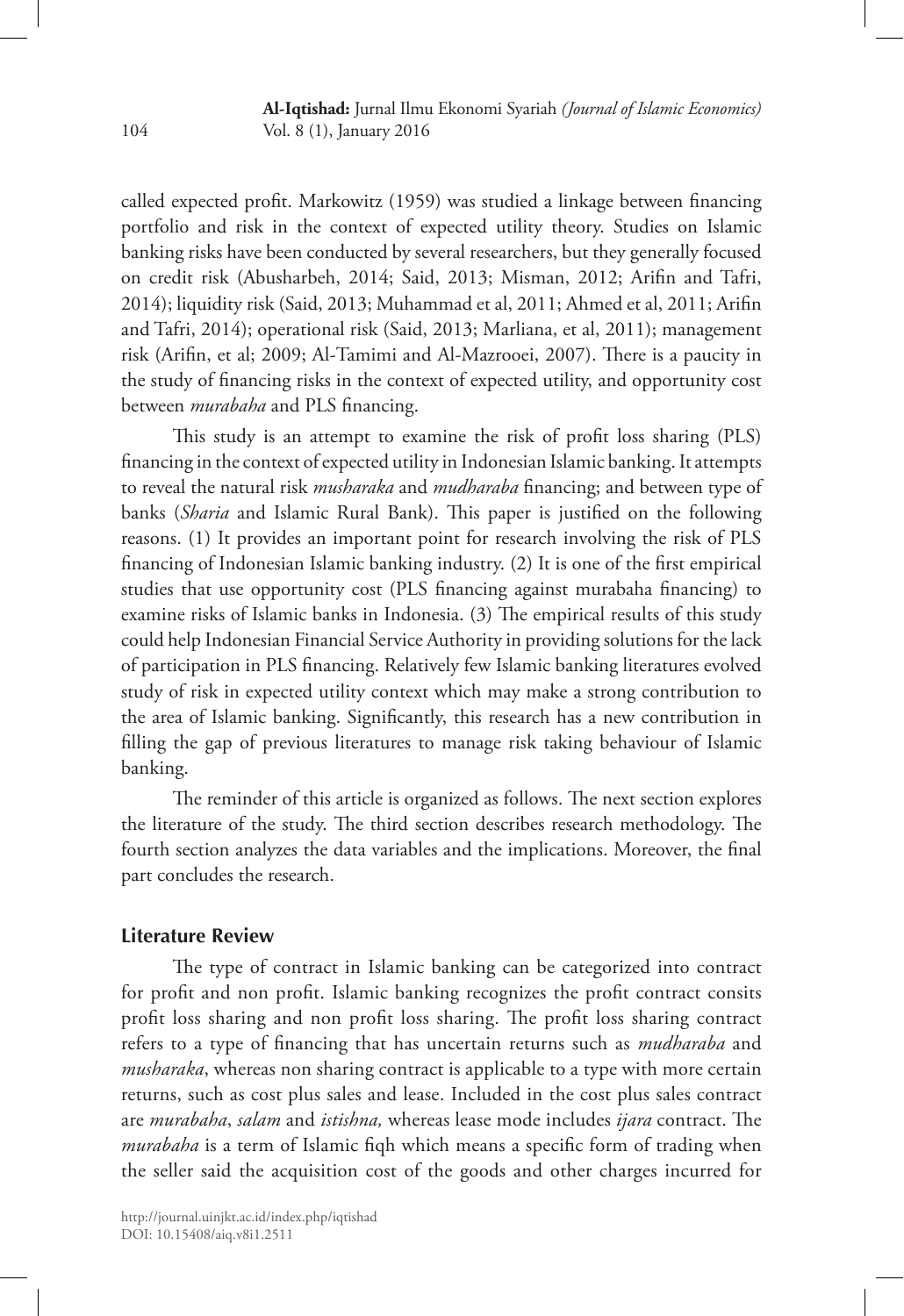called expected profit. Markowitz (1959) was studied a linkage between financing portfolio and risk in the context of expected utility theory. Studies on Islamic banking risks have been conducted by several researchers, but they generally focused on credit risk (Abusharbeh, 2014; Said, 2013; Misman, 2012; Arifin and Tafri, 2014); liquidity risk (Said, 2013; Muhammad et al, 2011; Ahmed et al, 2011; Arifin and Tafri, 2014); operational risk (Said, 2013; Marliana, et al, 2011); management risk (Arifin, et al; 2009; Al-Tamimi and Al-Mazrooei, 2007). There is a paucity in the study of financing risks in the context of expected utility, and opportunity cost between *murabaha* and PLS financing.

This study is an attempt to examine the risk of profit loss sharing (PLS) financing in the context of expected utility in Indonesian Islamic banking. It attempts to reveal the natural risk *musharaka* and *mudharaba* financing; and between type of banks (*Sharia* and Islamic Rural Bank). This paper is justified on the following reasons. (1) It provides an important point for research involving the risk of PLS financing of Indonesian Islamic banking industry. (2) It is one of the first empirical studies that use opportunity cost (PLS financing against murabaha financing) to examine risks of Islamic banks in Indonesia. (3) The empirical results of this study could help Indonesian Financial Service Authority in providing solutions for the lack of participation in PLS financing. Relatively few Islamic banking literatures evolved study of risk in expected utility context which may make a strong contribution to the area of Islamic banking. Significantly, this research has a new contribution in filling the gap of previous literatures to manage risk taking behaviour of Islamic banking.

The reminder of this article is organized as follows. The next section explores the literature of the study. The third section describes research methodology. The fourth section analyzes the data variables and the implications. Moreover, the final part concludes the research.

## **Literature Review**

The type of contract in Islamic banking can be categorized into contract for profit and non profit. Islamic banking recognizes the profit contract consits profit loss sharing and non profit loss sharing. The profit loss sharing contract refers to a type of financing that has uncertain returns such as *mudharaba* and *musharaka*, whereas non sharing contract is applicable to a type with more certain returns, such as cost plus sales and lease. Included in the cost plus sales contract are *murabaha*, *salam* and *istishna,* whereas lease mode includes *ijara* contract. The *murabaha* is a term of Islamic fiqh which means a specific form of trading when the seller said the acquisition cost of the goods and other charges incurred for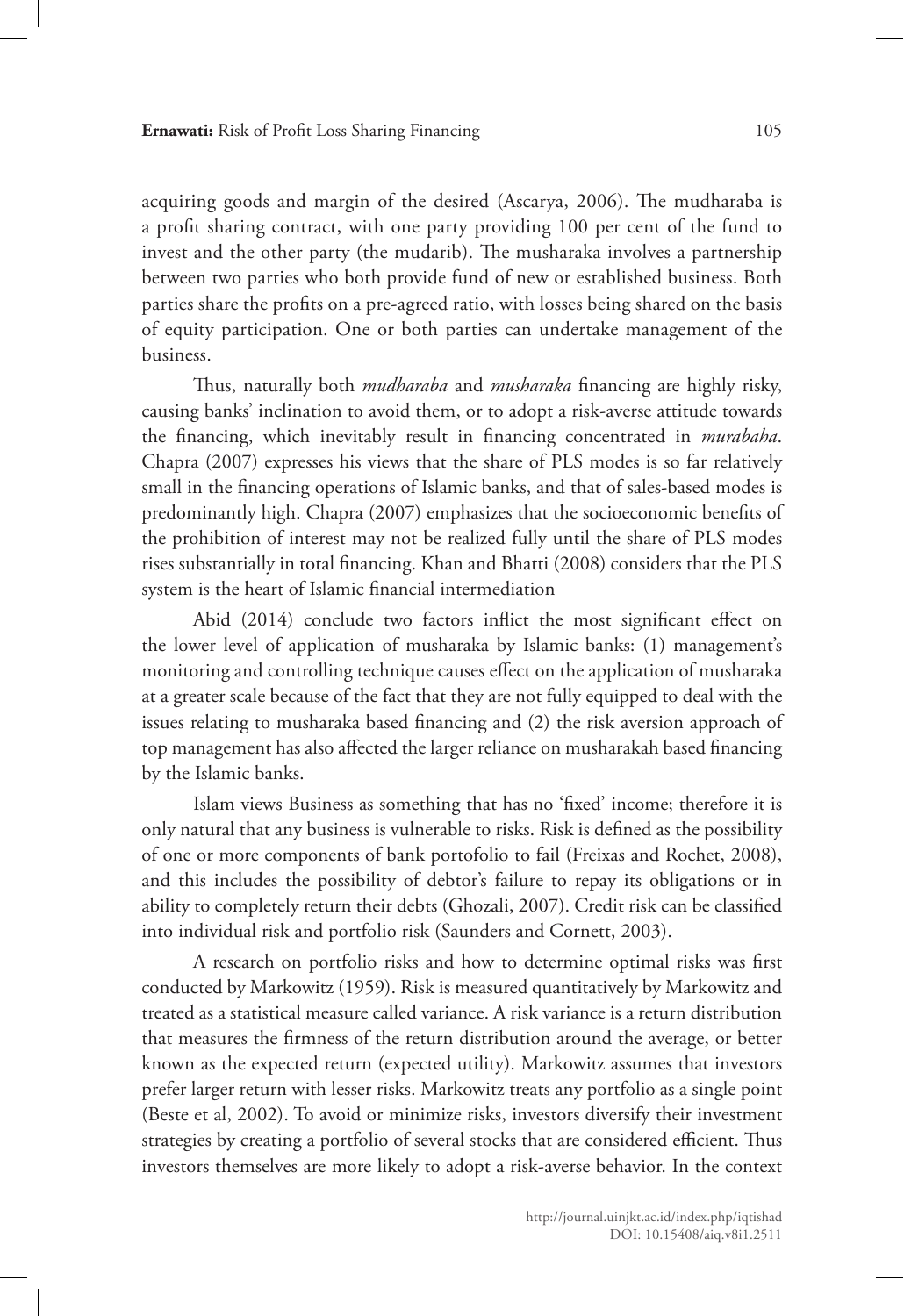acquiring goods and margin of the desired (Ascarya, 2006). The mudharaba is a profit sharing contract, with one party providing 100 per cent of the fund to invest and the other party (the mudarib). The musharaka involves a partnership between two parties who both provide fund of new or established business. Both parties share the profits on a pre-agreed ratio, with losses being shared on the basis of equity participation. One or both parties can undertake management of the business.

Thus, naturally both *mudharaba* and *musharaka* financing are highly risky, causing banks' inclination to avoid them, or to adopt a risk-averse attitude towards the financing, which inevitably result in financing concentrated in *murabaha*. Chapra (2007) expresses his views that the share of PLS modes is so far relatively small in the financing operations of Islamic banks, and that of sales-based modes is predominantly high. Chapra (2007) emphasizes that the socioeconomic benefits of the prohibition of interest may not be realized fully until the share of PLS modes rises substantially in total financing. Khan and Bhatti (2008) considers that the PLS system is the heart of Islamic financial intermediation

Abid (2014) conclude two factors inflict the most significant effect on the lower level of application of musharaka by Islamic banks: (1) management's monitoring and controlling technique causes effect on the application of musharaka at a greater scale because of the fact that they are not fully equipped to deal with the issues relating to musharaka based financing and (2) the risk aversion approach of top management has also affected the larger reliance on musharakah based financing by the Islamic banks.

Islam views Business as something that has no 'fixed' income; therefore it is only natural that any business is vulnerable to risks. Risk is defined as the possibility of one or more components of bank portofolio to fail (Freixas and Rochet, 2008), and this includes the possibility of debtor's failure to repay its obligations or in ability to completely return their debts (Ghozali, 2007). Credit risk can be classified into individual risk and portfolio risk (Saunders and Cornett, 2003).

A research on portfolio risks and how to determine optimal risks was first conducted by Markowitz (1959). Risk is measured quantitatively by Markowitz and treated as a statistical measure called variance. A risk variance is a return distribution that measures the firmness of the return distribution around the average, or better known as the expected return (expected utility). Markowitz assumes that investors prefer larger return with lesser risks. Markowitz treats any portfolio as a single point (Beste et al, 2002). To avoid or minimize risks, investors diversify their investment strategies by creating a portfolio of several stocks that are considered efficient. Thus investors themselves are more likely to adopt a risk-averse behavior. In the context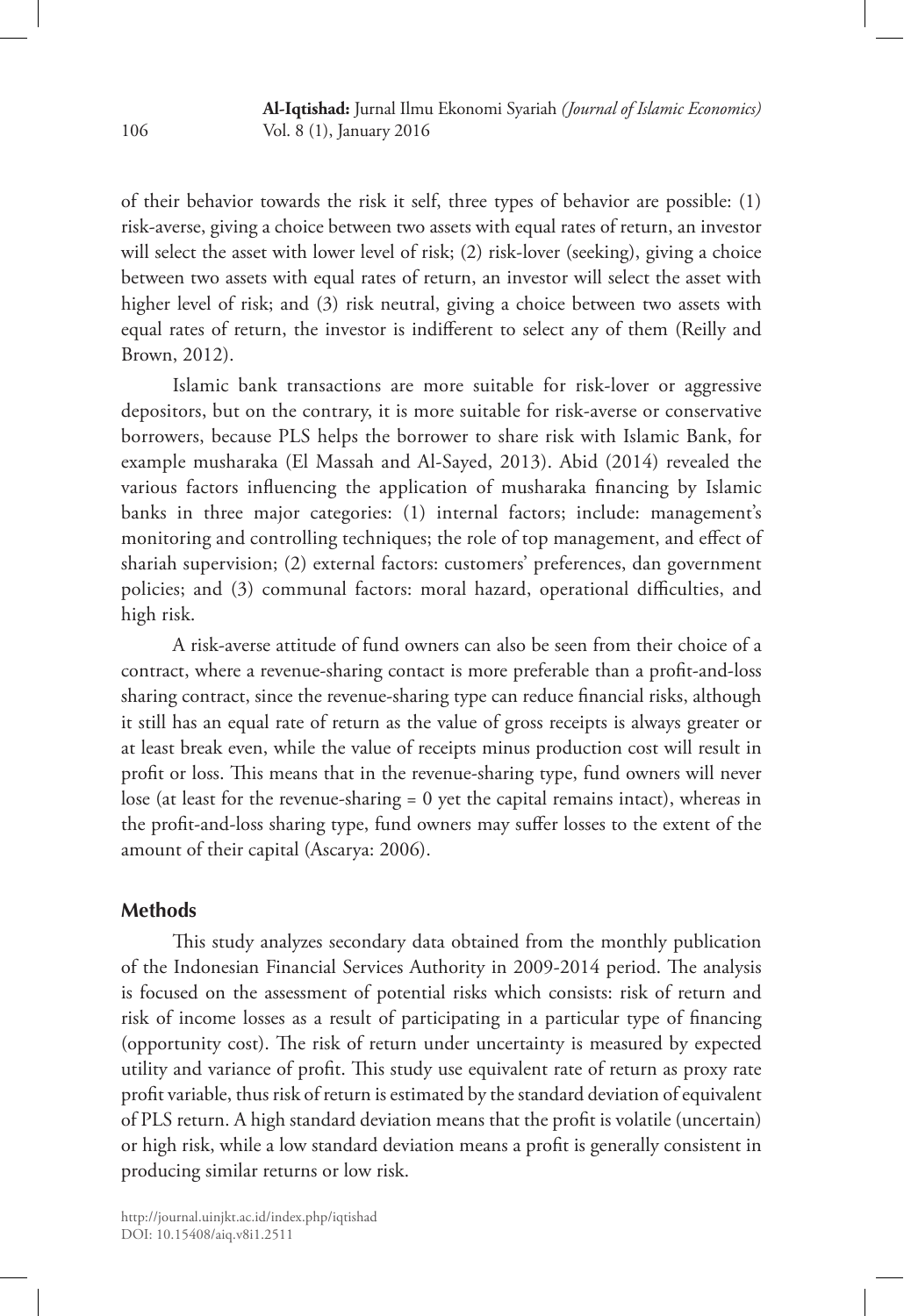of their behavior towards the risk it self, three types of behavior are possible: (1) risk-averse, giving a choice between two assets with equal rates of return, an investor will select the asset with lower level of risk; (2) risk-lover (seeking), giving a choice between two assets with equal rates of return, an investor will select the asset with higher level of risk; and (3) risk neutral, giving a choice between two assets with equal rates of return, the investor is indifferent to select any of them (Reilly and Brown, 2012).

Islamic bank transactions are more suitable for risk-lover or aggressive depositors, but on the contrary, it is more suitable for risk-averse or conservative borrowers, because PLS helps the borrower to share risk with Islamic Bank, for example musharaka (El Massah and Al-Sayed, 2013). Abid (2014) revealed the various factors influencing the application of musharaka financing by Islamic banks in three major categories: (1) internal factors; include: management's monitoring and controlling techniques; the role of top management, and effect of shariah supervision; (2) external factors: customers' preferences, dan government policies; and (3) communal factors: moral hazard, operational difficulties, and high risk.

A risk-averse attitude of fund owners can also be seen from their choice of a contract, where a revenue-sharing contact is more preferable than a profit-and-loss sharing contract, since the revenue-sharing type can reduce financial risks, although it still has an equal rate of return as the value of gross receipts is always greater or at least break even, while the value of receipts minus production cost will result in profit or loss. This means that in the revenue-sharing type, fund owners will never lose (at least for the revenue-sharing = 0 yet the capital remains intact), whereas in the profit-and-loss sharing type, fund owners may suffer losses to the extent of the amount of their capital (Ascarya: 2006).

### **Methods**

This study analyzes secondary data obtained from the monthly publication of the Indonesian Financial Services Authority in 2009-2014 period. The analysis is focused on the assessment of potential risks which consists: risk of return and risk of income losses as a result of participating in a particular type of financing (opportunity cost). The risk of return under uncertainty is measured by expected utility and variance of profit. This study use equivalent rate of return as proxy rate profit variable, thus risk of return is estimated by the standard deviation of equivalent of PLS return. A high standard deviation means that the profit is volatile (uncertain) or high risk, while a low standard deviation means a profit is generally consistent in producing similar returns or low risk.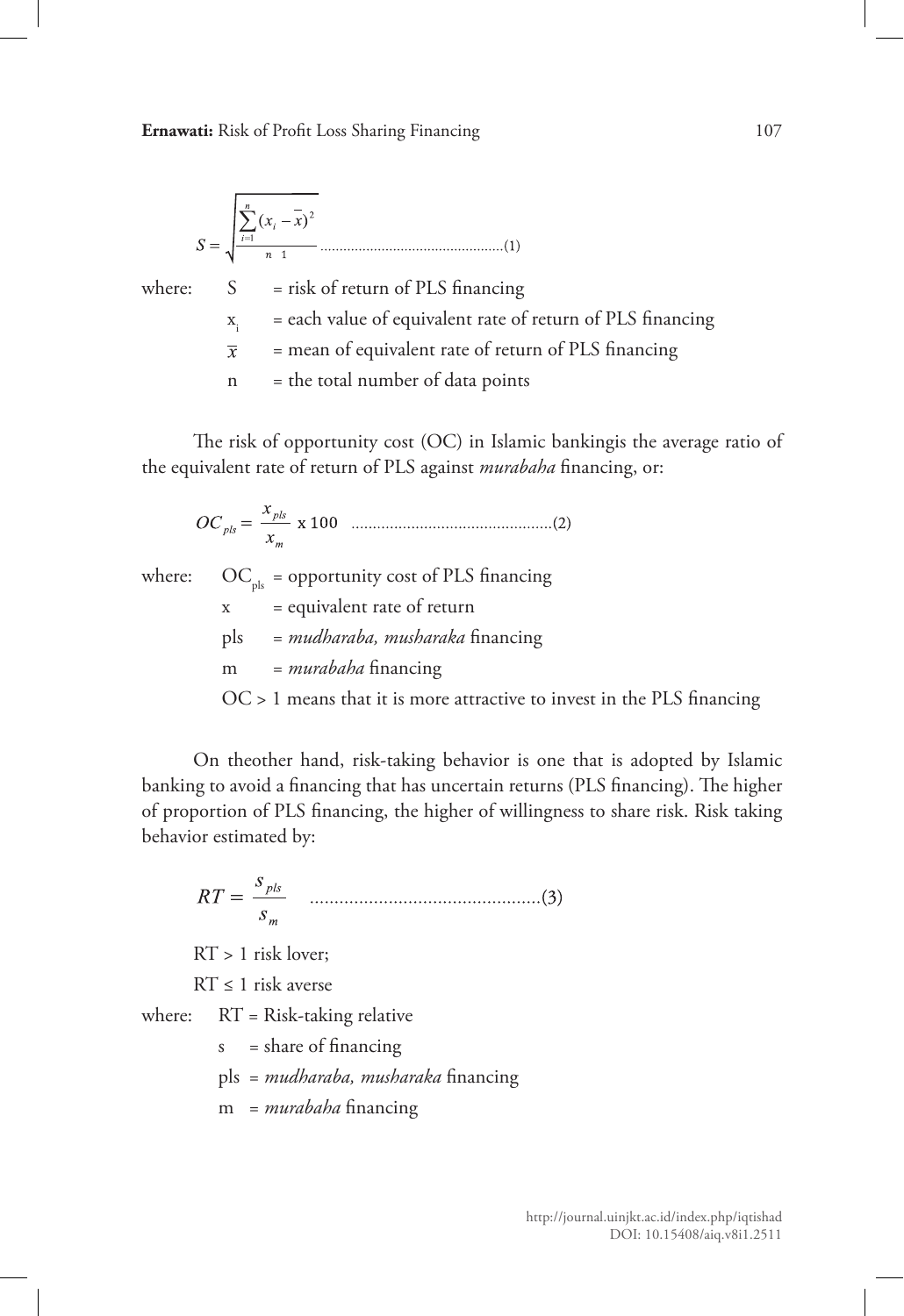**Ernawati:** Risk of Profit Loss Sharing Financing 107

$$
S = \sqrt{\frac{\sum_{i=1}^{n} (x_i - \overline{x})^2}{n-1}}
$$
.................(1)  
where:  $S =$  risk of return of PLS financing

 $x_i$  = each value of equivalent rate of return of PLS financing

= mean of equivalent rate of return of PLS financing  $\overline{x}$ 

 $n =$  the total number of data points

The risk of opportunity cost (OC) in Islamic bankingis the average ratio of the equivalent rate of return of PLS against *murabaha* financing, or:

where:  $OC_{nk}$  = opportunity cost of PLS financing x = equivalent rate of return pls = *mudharaba, musharaka* financing m = *murabaha* financing OC > 1 means that it is more attractive to invest in the PLS financing

On theother hand, risk-taking behavior is one that is adopted by Islamic banking to avoid a financing that has uncertain returns (PLS financing). The higher of proportion of PLS financing, the higher of willingness to share risk. Risk taking behavior estimated by:

RT > 1 risk lover;

 $RT \leq 1$  risk averse

where:  $RT = Risk-taking relative$ 

 $s = share of financing$ 

pls = *mudharaba, musharaka* financing

m = *murabaha* financing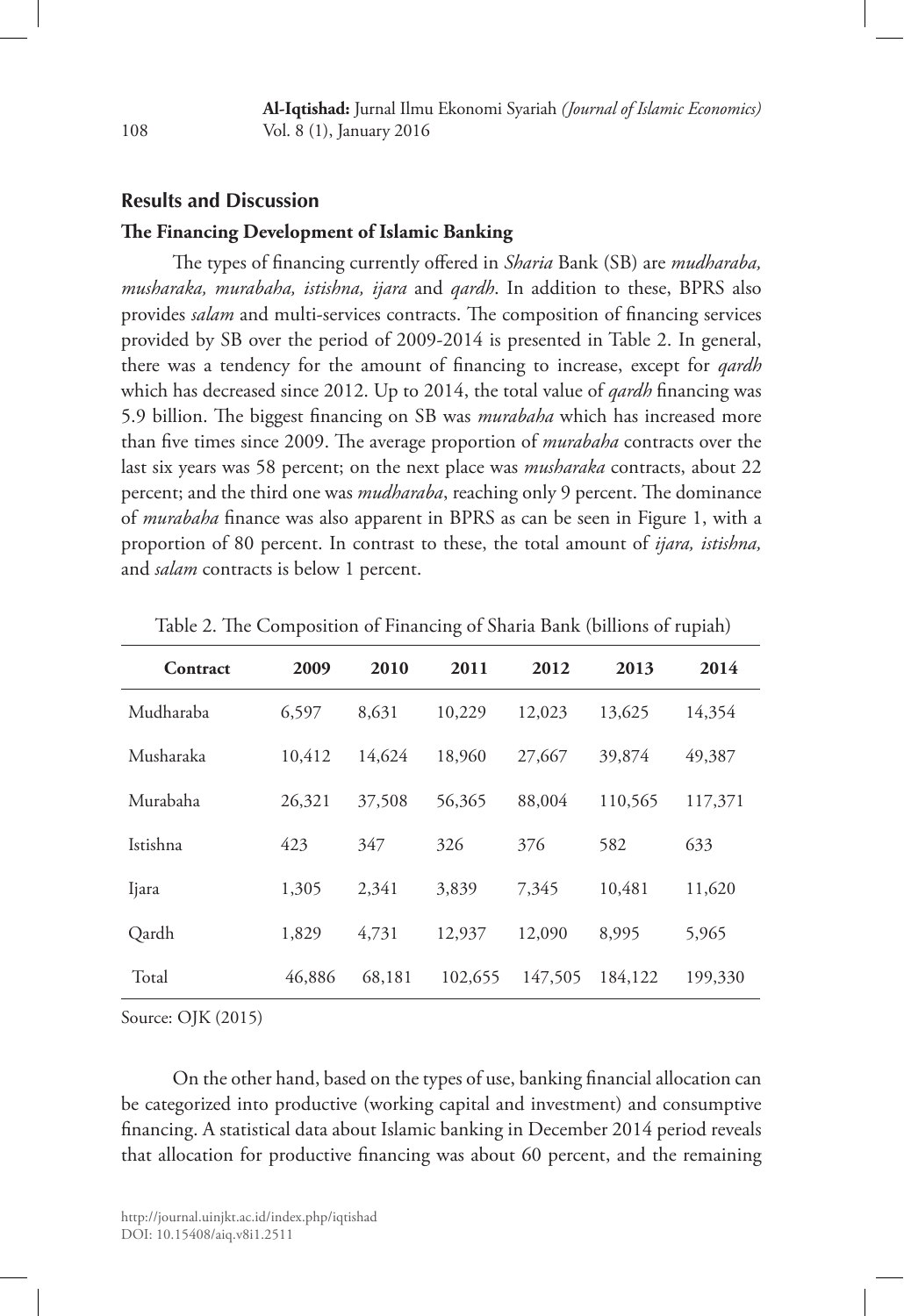### **Results and Discussion**

#### **The Financing Development of Islamic Banking**

The types of financing currently offered in *Sharia* Bank (SB) are *mudharaba, musharaka, murabaha, istishna, ijara* and *qardh*. In addition to these, BPRS also provides *salam* and multi-services contracts. The composition of financing services provided by SB over the period of 2009-2014 is presented in Table 2. In general, there was a tendency for the amount of financing to increase, except for *qardh*  which has decreased since 2012. Up to 2014, the total value of *qardh* financing was 5.9 billion. The biggest financing on SB was *murabaha* which has increased more than five times since 2009. The average proportion of *murabaha* contracts over the last six years was 58 percent; on the next place was *musharaka* contracts, about 22 percent; and the third one was *mudharaba*, reaching only 9 percent. The dominance of *murabaha* finance was also apparent in BPRS as can be seen in Figure 1, with a proportion of 80 percent. In contrast to these, the total amount of *ijara, istishna,*  and *salam* contracts is below 1 percent.

| Contract  | 2009   | 2010   | 2011    | 2012    | 2013    | 2014    |
|-----------|--------|--------|---------|---------|---------|---------|
| Mudharaba | 6,597  | 8,631  | 10,229  | 12,023  | 13,625  | 14,354  |
| Musharaka | 10.412 | 14,624 | 18,960  | 27,667  | 39,874  | 49,387  |
| Murabaha  | 26,321 | 37,508 | 56,365  | 88,004  | 110,565 | 117,371 |
| Istishna  | 423    | 347    | 326     | 376     | 582     | 633     |
| Ijara     | 1,305  | 2,341  | 3,839   | 7,345   | 10,481  | 11,620  |
| Qardh     | 1,829  | 4,731  | 12,937  | 12,090  | 8,995   | 5,965   |
| Total     | 46,886 | 68,181 | 102,655 | 147,505 | 184,122 | 199,330 |

|  | Table 2. The Composition of Financing of Sharia Bank (billions of rupiah) |  |  |  |
|--|---------------------------------------------------------------------------|--|--|--|
|  |                                                                           |  |  |  |

Source: OJK (2015)

On the other hand, based on the types of use, banking financial allocation can be categorized into productive (working capital and investment) and consumptive financing. A statistical data about Islamic banking in December 2014 period reveals that allocation for productive financing was about 60 percent, and the remaining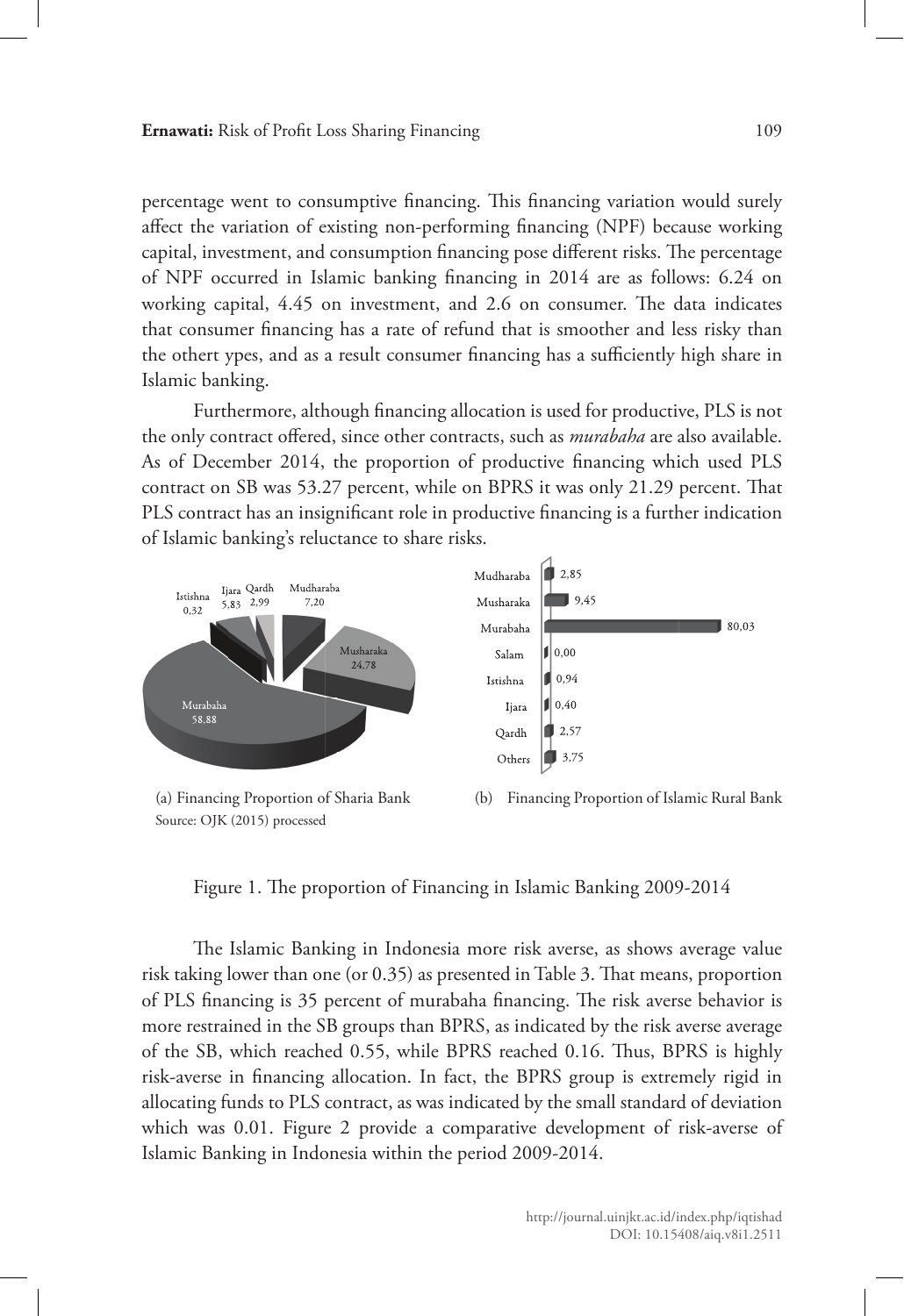percentage went to consumptive financing. This financing variation would surely affect the variation of existing non-performing financing (NPF) because working capital, investment, and consumption financing pose different risks. The percentage of NPF occurred in Islamic banking financing in 2014 are as follows: 6.24 on working capital, 4.45 on investment, and 2.6 on consumer. The data indicates that consumer financing has a rate of refund that is smoother and less risky than the othert ypes, and as a result consumer financing has a sufficiently high share in Islamic banking.

Furthermore, although financing allocation is used for productive, PLS is not the only contract offered, since other contracts, such as *murabaha* are also available. As of December 2014, the proportion of productive financing which used PLS contract on SB was 53.27 percent, while on BPRS it was only 21.29 percent. That PLS contract has an insignificant role in productive financing is a further indication of Islamic banking's reluctance to share risks.



Source: OJK (2015) processed

(b) Financing Proportion of Islamic Rural Bank

Figure 1. The proportion of Financing in Islamic Banking 2009-2014

The Islamic Banking in Indonesia more risk averse, as shows average value risk taking lower than one (or 0.35) as presented in Table 3. That means, proportion of PLS financing is 35 percent of murabaha financing. The risk averse behavior is more restrained in the SB groups than BPRS, as indicated by the risk averse average of the SB, which reached 0.55, while BPRS reached 0.16. Thus, BPRS is highly risk-averse in financing allocation. In fact, the BPRS group is extremely rigid in allocating funds to PLS contract, as was indicated by the small standard of deviation which was 0.01. Figure 2 provide a comparative development of risk-averse of Islamic Banking in Indonesia within the period 2009-2014.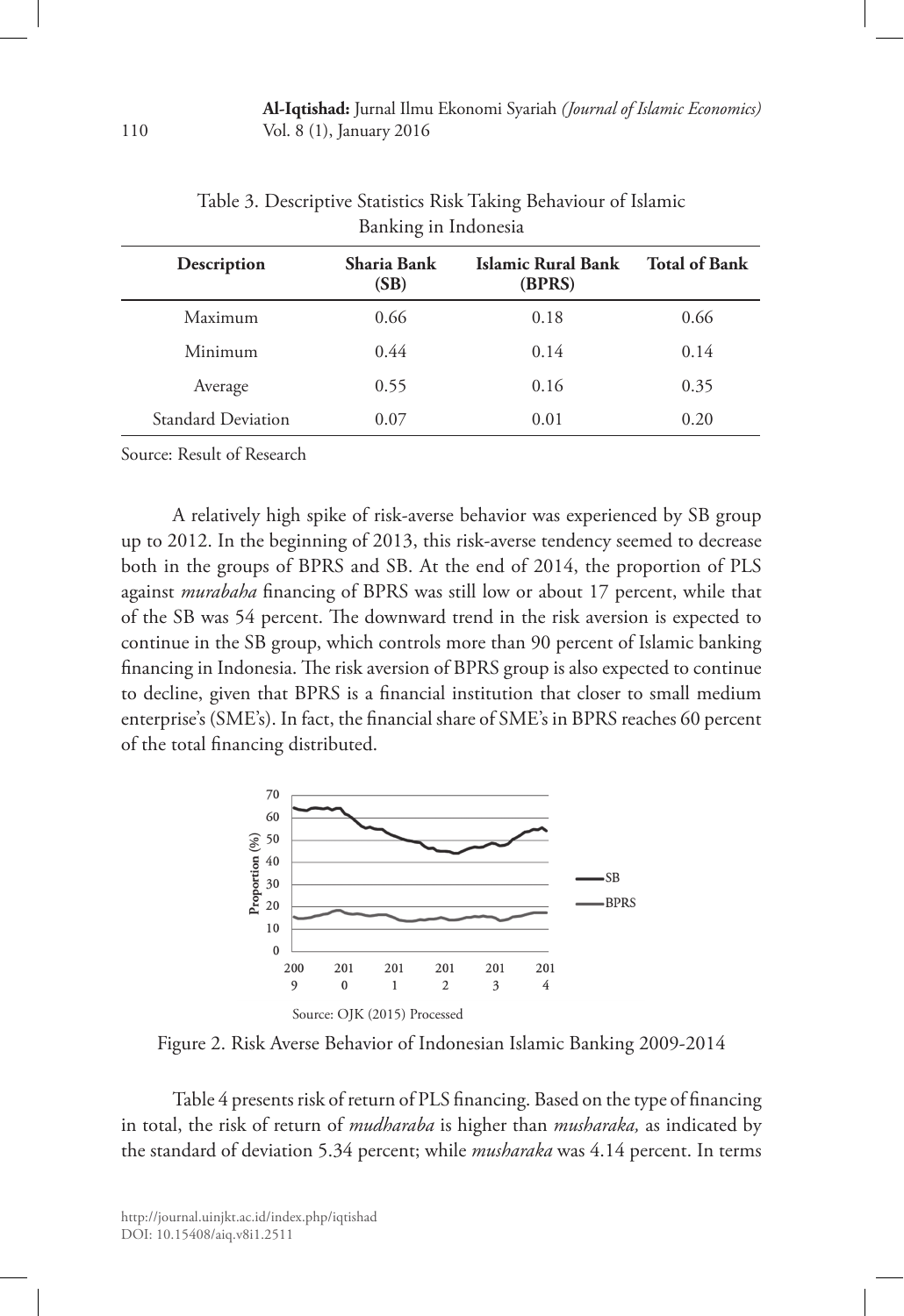| Description        | Sharia Bank<br>(SB) | Islamic Rural Bank<br>(BPRS) | <b>Total of Bank</b> |
|--------------------|---------------------|------------------------------|----------------------|
| Maximum            | 0.66                | 0.18                         | 0.66                 |
| Minimum            | 0.44                | 0.14                         | 0.14                 |
| Average            | 0.55                | 0.16                         | 0.35                 |
| Standard Deviation | 0.07                | 0.01                         | 0.20                 |

Table 3. Descriptive Statistics Risk Taking Behaviour of Islamic Banking in Indonesia

Source: Result of Research

A relatively high spike of risk-averse behavior was experienced by SB group up to 2012. In the beginning of 2013, this risk-averse tendency seemed to decrease both in the groups of BPRS and SB. At the end of 2014, the proportion of PLS against *murabaha* financing of BPRS was still low or about 17 percent, while that of the SB was 54 percent. The downward trend in the risk aversion is expected to continue in the SB group, which controls more than 90 percent of Islamic banking financing in Indonesia. The risk aversion of BPRS group is also expected to continue to decline, given that BPRS is a financial institution that closer to small medium enterprise's (SME's). In fact, the financial share of SME's in BPRS reaches 60 percent of the total financing distributed.



Figure 2. Risk Averse Behavior of Indonesian Islamic Banking 2009-2014

Table 4 presents risk of return of PLS financing. Based on the type of financing in total, the risk of return of *mudharaba* is higher than *musharaka,* as indicated by the standard of deviation 5.34 percent; while *musharaka* was 4.14 percent. In terms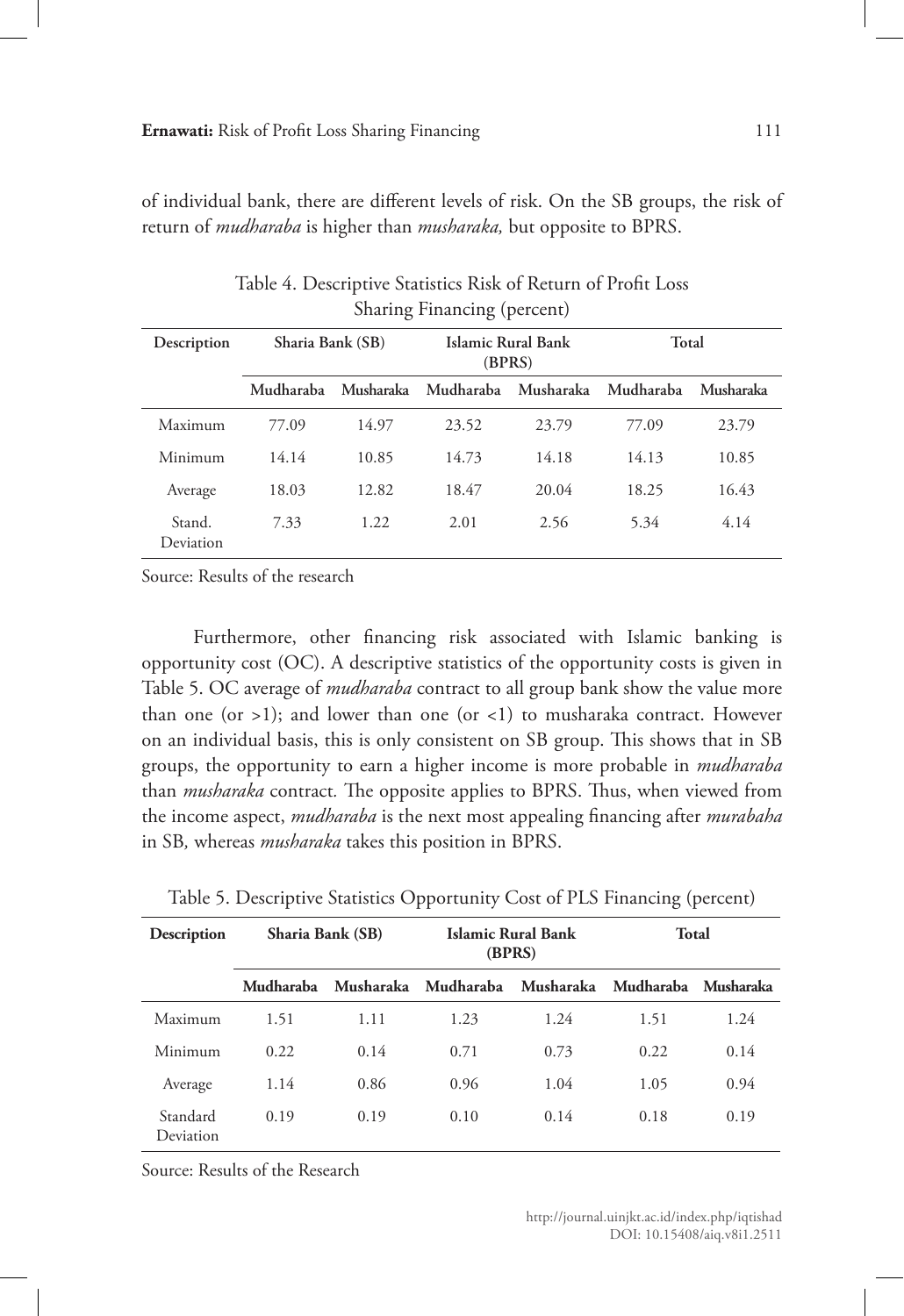of individual bank, there are different levels of risk. On the SB groups, the risk of return of *mudharaba* is higher than *musharaka,* but opposite to BPRS.

|                     |                  | $\omega$  |           |                              |           |           |
|---------------------|------------------|-----------|-----------|------------------------------|-----------|-----------|
| Description         | Sharia Bank (SB) |           |           | Islamic Rural Bank<br>(BPRS) | Total     |           |
|                     | Mudharaba        | Musharaka | Mudharaba | Musharaka                    | Mudharaba | Musharaka |
| Maximum             | 77.09            | 14.97     | 23.52     | 23.79                        | 77.09     | 23.79     |
| Minimum             | 14.14            | 10.85     | 14.73     | 14.18                        | 14.13     | 10.85     |
| Average             | 18.03            | 12.82     | 18.47     | 20.04                        | 18.25     | 16.43     |
| Stand.<br>Deviation | 7.33             | 1.22      | 2.01      | 2.56                         | 5.34      | 4.14      |

Table 4. Descriptive Statistics Risk of Return of Profit Loss Sharing Financing (percent)

Source: Results of the research

Furthermore, other financing risk associated with Islamic banking is opportunity cost (OC). A descriptive statistics of the opportunity costs is given in Table 5. OC average of *mudharaba* contract to all group bank show the value more than one (or  $>1$ ); and lower than one (or <1) to musharaka contract. However on an individual basis, this is only consistent on SB group. This shows that in SB groups, the opportunity to earn a higher income is more probable in *mudharaba*  than *musharaka* contract*.* The opposite applies to BPRS. Thus, when viewed from the income aspect, *mudharaba* is the next most appealing financing after *murabaha*  in SB*,* whereas *musharaka* takes this position in BPRS.

| <b>Description</b>    | Sharia Bank (SB) |           |           | Islamic Rural Bank<br>(BPRS) | Total               |      |  |
|-----------------------|------------------|-----------|-----------|------------------------------|---------------------|------|--|
|                       | Mudharaba        | Musharaka | Mudharaba | Musharaka                    | Mudharaba Musharaka |      |  |
| Maximum               | 1.51             | 1.11      | 1.23      | 1.24                         | 1.51                | 1.24 |  |
| Minimum               | 0.22             | 0.14      | 0.71      | 0.73                         | 0.22                | 0.14 |  |
| Average               | 1.14             | 0.86      | 0.96      | 1.04                         | 1.05                | 0.94 |  |
| Standard<br>Deviation | 0.19             | 0.19      | 0.10      | 0.14                         | 0.18                | 0.19 |  |

Table 5. Descriptive Statistics Opportunity Cost of PLS Financing (percent)

Source: Results of the Research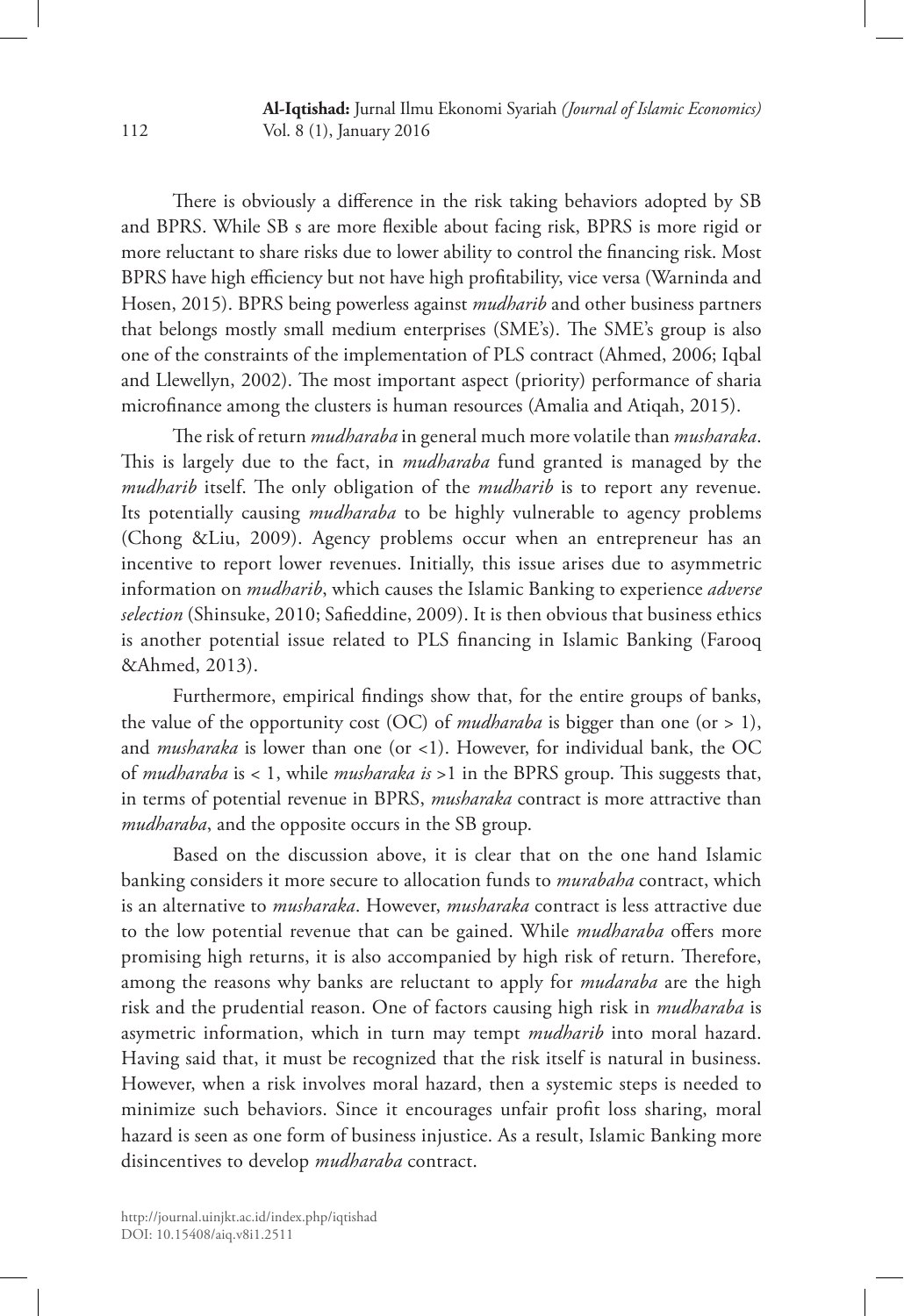There is obviously a difference in the risk taking behaviors adopted by SB and BPRS. While SB s are more flexible about facing risk, BPRS is more rigid or more reluctant to share risks due to lower ability to control the financing risk. Most BPRS have high efficiency but not have high profitability, vice versa (Warninda and Hosen, 2015). BPRS being powerless against *mudharib* and other business partners that belongs mostly small medium enterprises (SME's). The SME's group is also one of the constraints of the implementation of PLS contract (Ahmed, 2006; Iqbal and Llewellyn, 2002). The most important aspect (priority) performance of sharia microfinance among the clusters is human resources (Amalia and Atiqah, 2015).

The risk of return *mudharaba* in general much more volatile than *musharaka*. This is largely due to the fact, in *mudharaba* fund granted is managed by the *mudharib* itself. The only obligation of the *mudharib* is to report any revenue. Its potentially causing *mudharaba* to be highly vulnerable to agency problems (Chong &Liu, 2009). Agency problems occur when an entrepreneur has an incentive to report lower revenues. Initially, this issue arises due to asymmetric information on *mudharib*, which causes the Islamic Banking to experience *adverse selection* (Shinsuke, 2010; Safieddine, 2009). It is then obvious that business ethics is another potential issue related to PLS financing in Islamic Banking (Farooq &Ahmed, 2013).

Furthermore, empirical findings show that, for the entire groups of banks, the value of the opportunity cost (OC) of *mudharaba* is bigger than one (or > 1), and *musharaka* is lower than one (or <1). However, for individual bank, the OC of *mudharaba* is < 1, while *musharaka is* >1 in the BPRS group. This suggests that, in terms of potential revenue in BPRS, *musharaka* contract is more attractive than *mudharaba*, and the opposite occurs in the SB group.

Based on the discussion above, it is clear that on the one hand Islamic banking considers it more secure to allocation funds to *murabaha* contract, which is an alternative to *musharaka*. However, *musharaka* contract is less attractive due to the low potential revenue that can be gained. While *mudharaba* offers more promising high returns, it is also accompanied by high risk of return. Therefore, among the reasons why banks are reluctant to apply for *mudaraba* are the high risk and the prudential reason. One of factors causing high risk in *mudharaba* is asymetric information, which in turn may tempt *mudharib* into moral hazard. Having said that, it must be recognized that the risk itself is natural in business. However, when a risk involves moral hazard, then a systemic steps is needed to minimize such behaviors. Since it encourages unfair profit loss sharing, moral hazard is seen as one form of business injustice. As a result, Islamic Banking more disincentives to develop *mudharaba* contract.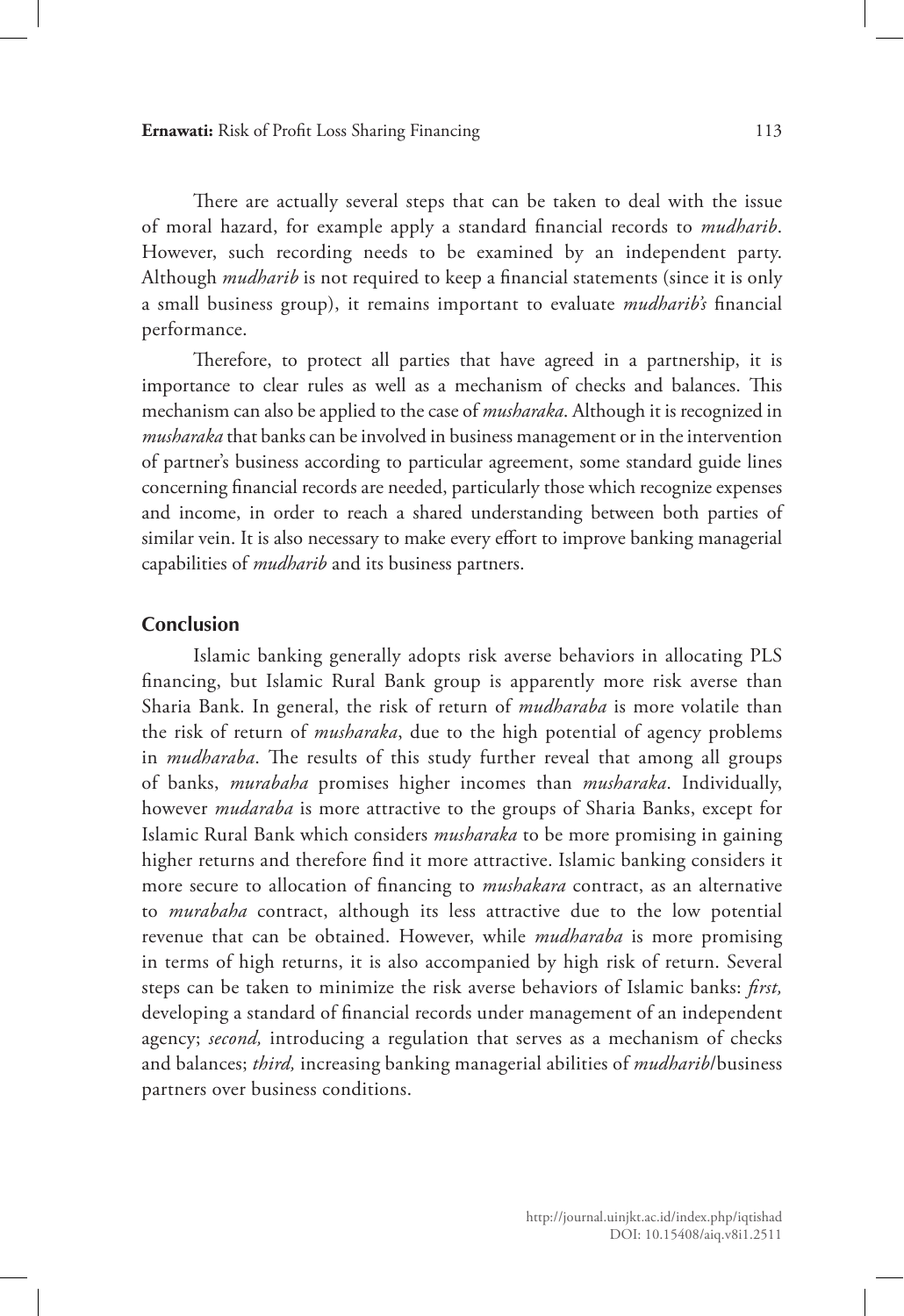**Ernawati:** Risk of Profit Loss Sharing Financing 113

There are actually several steps that can be taken to deal with the issue of moral hazard, for example apply a standard financial records to *mudharib*. However, such recording needs to be examined by an independent party. Although *mudharib* is not required to keep a financial statements (since it is only a small business group), it remains important to evaluate *mudharib's* financial performance.

Therefore, to protect all parties that have agreed in a partnership, it is importance to clear rules as well as a mechanism of checks and balances. This mechanism can also be applied to the case of *musharaka*. Although it is recognized in *musharaka* that banks can be involved in business management or in the intervention of partner's business according to particular agreement, some standard guide lines concerning financial records are needed, particularly those which recognize expenses and income, in order to reach a shared understanding between both parties of similar vein. It is also necessary to make every effort to improve banking managerial capabilities of *mudharib* and its business partners.

#### **Conclusion**

Islamic banking generally adopts risk averse behaviors in allocating PLS financing, but Islamic Rural Bank group is apparently more risk averse than Sharia Bank. In general, the risk of return of *mudharaba* is more volatile than the risk of return of *musharaka*, due to the high potential of agency problems in *mudharaba*. The results of this study further reveal that among all groups of banks, *murabaha* promises higher incomes than *musharaka*. Individually, however *mudaraba* is more attractive to the groups of Sharia Banks, except for Islamic Rural Bank which considers *musharaka* to be more promising in gaining higher returns and therefore find it more attractive. Islamic banking considers it more secure to allocation of financing to *mushakara* contract, as an alternative to *murabaha* contract, although its less attractive due to the low potential revenue that can be obtained. However, while *mudharaba* is more promising in terms of high returns, it is also accompanied by high risk of return. Several steps can be taken to minimize the risk averse behaviors of Islamic banks: *first,* developing a standard of financial records under management of an independent agency; *second,* introducing a regulation that serves as a mechanism of checks and balances; *third,* increasing banking managerial abilities of *mudharib*/business partners over business conditions.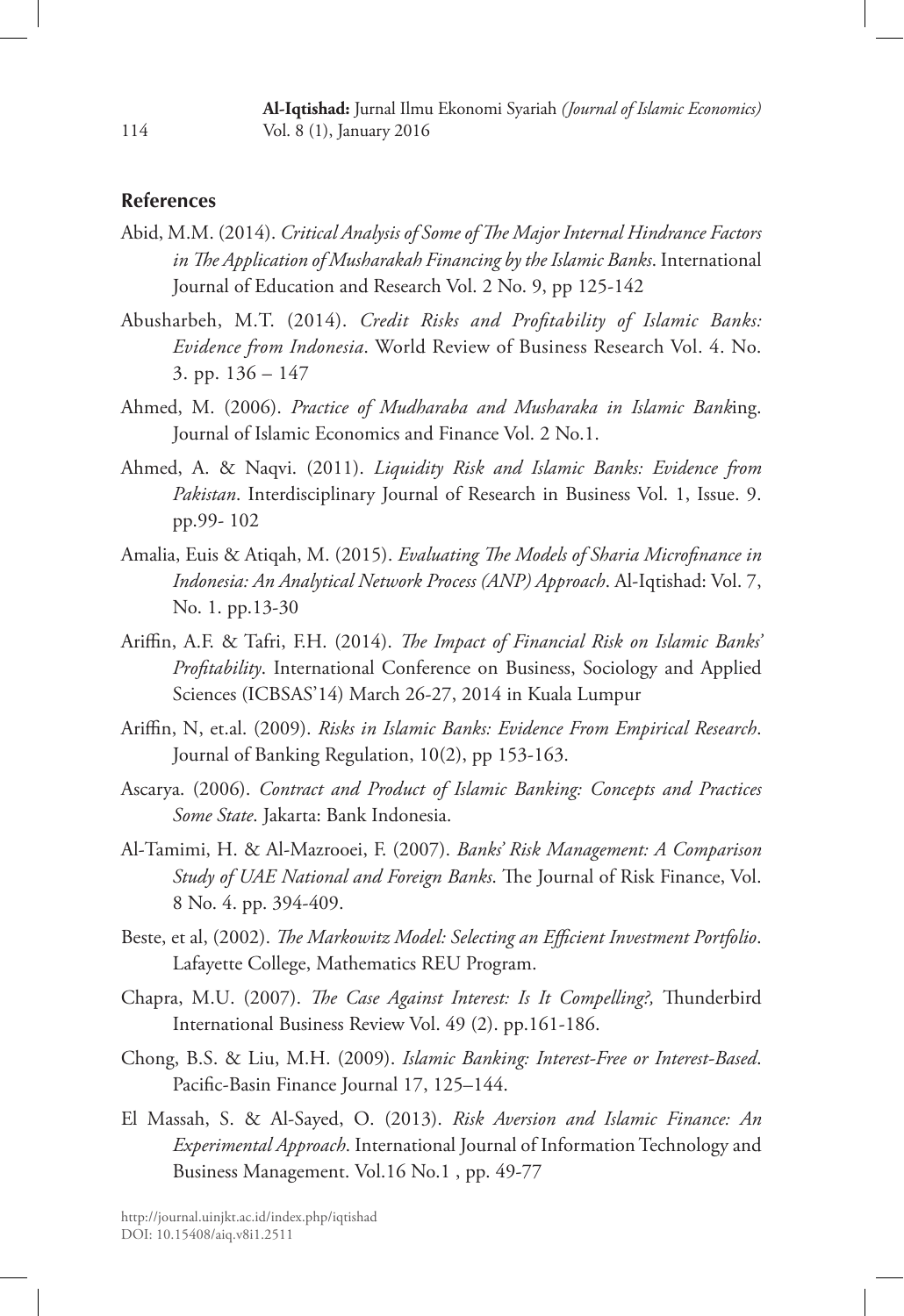# **References**

- Abid, M.M. (2014). *Critical Analysis of Some of The Major Internal Hindrance Factors in The Application of Musharakah Financing by the Islamic Banks*. International Journal of Education and Research Vol. 2 No. 9, pp 125-142
- Abusharbeh, M.T. (2014). *Credit Risks and Profitability of Islamic Banks: Evidence from Indonesia*. World Review of Business Research Vol. 4. No. 3. pp. 136 – 147
- Ahmed, M. (2006). *Practice of Mudharaba and Musharaka in Islamic Bank*ing. Journal of Islamic Economics and Finance Vol. 2 No.1.
- Ahmed, A. & Naqvi. (2011). *Liquidity Risk and Islamic Banks: Evidence from Pakistan*. Interdisciplinary Journal of Research in Business Vol. 1, Issue. 9. pp.99- 102
- Amalia, Euis & Atiqah, M. (2015). *Evaluating The Models of Sharia Microfinance in Indonesia: An Analytical Network Process (ANP) Approach*. Al-Iqtishad: Vol. 7, No. 1. pp.13-30
- Ariffin, A.F. & Tafri, F.H. (2014). *The Impact of Financial Risk on Islamic Banks' Profitability*. International Conference on Business, Sociology and Applied Sciences (ICBSAS'14) March 26-27, 2014 in Kuala Lumpur
- Ariffin, N, et.al. (2009). *Risks in Islamic Banks: Evidence From Empirical Research*. Journal of Banking Regulation, 10(2), pp 153-163.
- Ascarya. (2006). *Contract and Product of Islamic Banking: Concepts and Practices Some State*. Jakarta: Bank Indonesia.
- Al-Tamimi, H. & Al-Mazrooei, F. (2007). *Banks' Risk Management: A Comparison Study of UAE National and Foreign Banks*. The Journal of Risk Finance, Vol. 8 No. 4. pp. 394-409.
- Beste, et al, (2002). *The Markowitz Model: Selecting an Efficient Investment Portfolio*. Lafayette College, Mathematics REU Program.
- Chapra, M.U. (2007). *The Case Against Interest: Is It Compelling?,* Thunderbird International Business Review Vol. 49 (2). pp.161-186.
- Chong, B.S. & Liu, M.H. (2009). *Islamic Banking: Interest-Free or Interest-Based*. Pacific-Basin Finance Journal 17, 125–144.
- El Massah, S. & Al-Sayed, O. (2013). *Risk Aversion and Islamic Finance: An Experimental Approach*. International Journal of Information Technology and Business Management. Vol.16 No.1 , pp. 49-77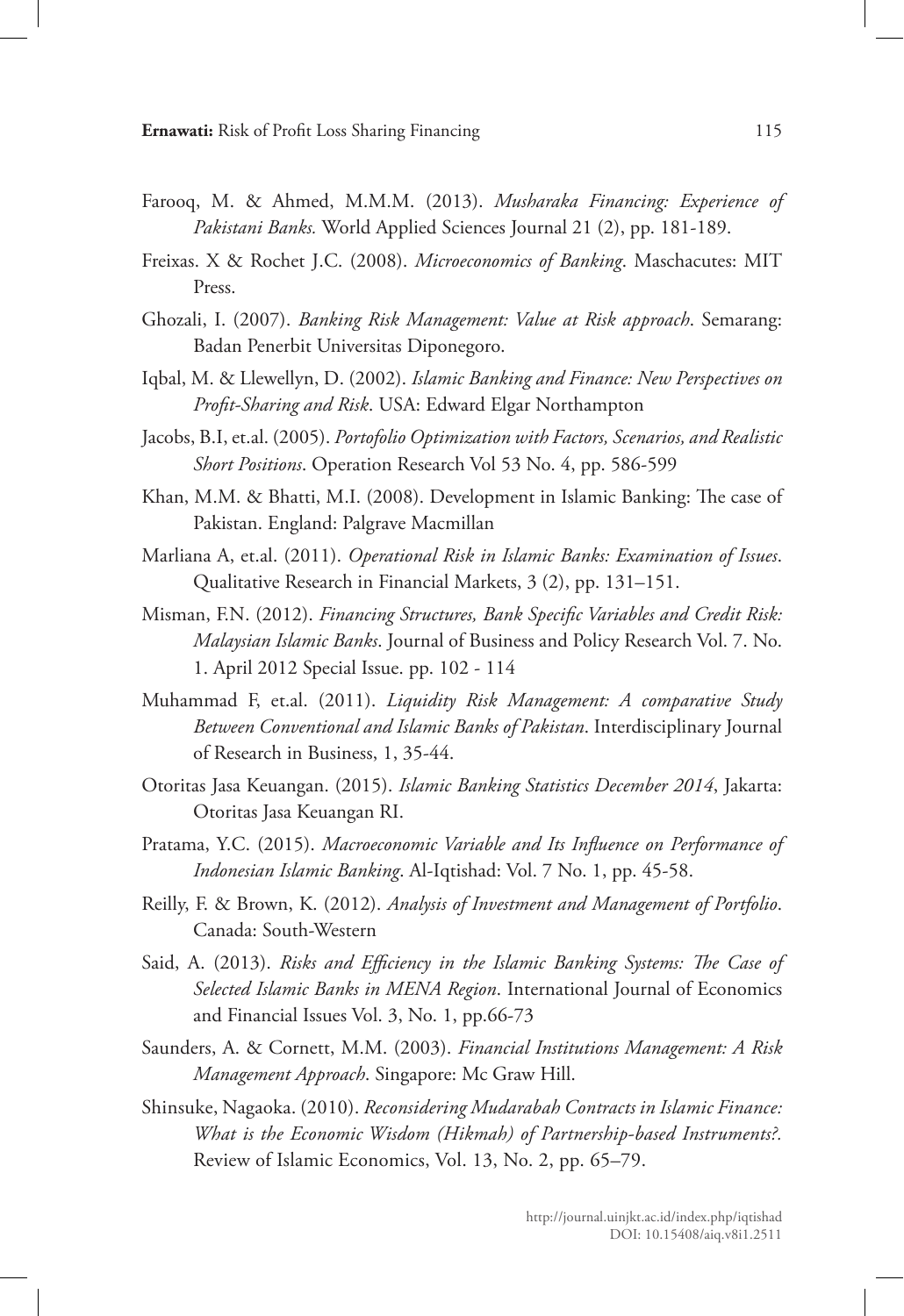- Farooq, M. & Ahmed, M.M.M. (2013). *Musharaka Financing: Experience of Pakistani Banks.* World Applied Sciences Journal 21 (2), pp. 181-189.
- Freixas. X & Rochet J.C. (2008). *Microeconomics of Banking*. Maschacutes: MIT Press.
- Ghozali, I. (2007). *Banking Risk Management: Value at Risk approach*. Semarang: Badan Penerbit Universitas Diponegoro.
- Iqbal, M. & Llewellyn, D. (2002). *Islamic Banking and Finance: New Perspectives on Profit-Sharing and Risk*. USA: Edward Elgar Northampton
- Jacobs, B.I, et.al. (2005). *Portofolio Optimization with Factors, Scenarios, and Realistic Short Positions*. Operation Research Vol 53 No. 4, pp. 586-599
- Khan, M.M. & Bhatti, M.I. (2008). Development in Islamic Banking: The case of Pakistan. England: Palgrave Macmillan
- Marliana A, et.al. (2011). *Operational Risk in Islamic Banks: Examination of Issues*. Qualitative Research in Financial Markets, 3 (2), pp. 131–151.
- Misman, F.N. (2012). *Financing Structures, Bank Specific Variables and Credit Risk: Malaysian Islamic Banks*. Journal of Business and Policy Research Vol. 7. No. 1. April 2012 Special Issue. pp. 102 - 114
- Muhammad F, et.al. (2011). *Liquidity Risk Management: A comparative Study Between Conventional and Islamic Banks of Pakistan*. Interdisciplinary Journal of Research in Business, 1, 35-44.
- Otoritas Jasa Keuangan. (2015). *Islamic Banking Statistics December 2014*, Jakarta: Otoritas Jasa Keuangan RI.
- Pratama, Y.C. (2015). *Macroeconomic Variable and Its Influence on Performance of Indonesian Islamic Banking*. Al-Iqtishad: Vol. 7 No. 1, pp. 45-58.
- Reilly, F. & Brown, K. (2012). *Analysis of Investment and Management of Portfolio*. Canada: South-Western
- Said, A. (2013). *Risks and Efficiency in the Islamic Banking Systems: The Case of Selected Islamic Banks in MENA Region*. International Journal of Economics and Financial Issues Vol. 3, No. 1, pp.66-73
- Saunders, A. & Cornett, M.M. (2003). *Financial Institutions Management: A Risk Management Approach*. Singapore: Mc Graw Hill.
- Shinsuke, Nagaoka. (2010). *Reconsidering Mudarabah Contracts in Islamic Finance: What is the Economic Wisdom (Hikmah) of Partnership-based Instruments?.* Review of Islamic Economics, Vol. 13, No. 2, pp. 65–79.